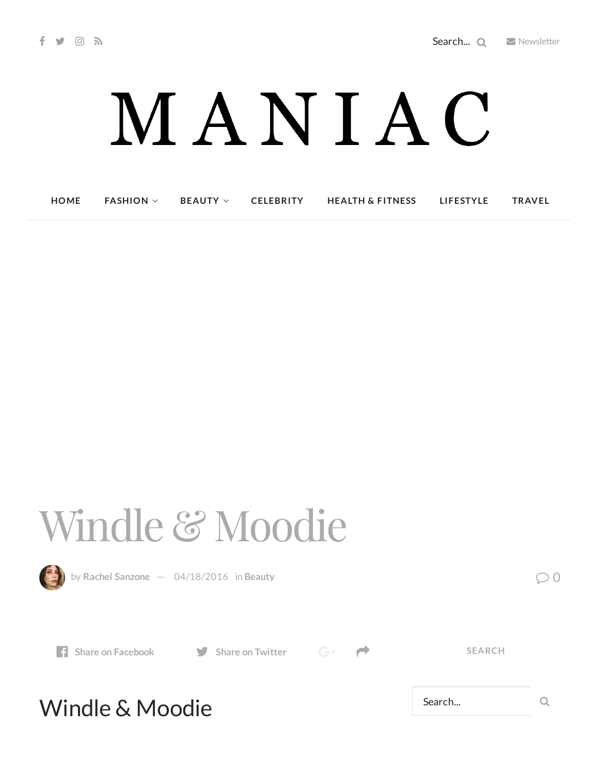## MANIAC

| <b>HOME</b> | <b>FASHION</b> $\vee$ | <b>BEAUTY</b> $\vee$ | <b>CELEBRITY</b> | <b>HEALTH &amp; FITNESS</b> | LIFESTYLE | <b>TRAVEL</b> |
|-------------|-----------------------|----------------------|------------------|-----------------------------|-----------|---------------|
|-------------|-----------------------|----------------------|------------------|-----------------------------|-----------|---------------|

## Windle & Moodie



by Rachel [Sanzone](http://maniacmagazine.com/author/rachel/)  $-$  [04/18/2016](http://maniacmagazine.com/beauty/windle-moodie/) in [Beauty](http://maniacmagazine.com/beauty/)  $\oslash$  0

**Share** on [Facebook](http://www.facebook.com/sharer.php?u=http%3A%2F%2Fmaniacmagazine.com%2Fbeauty%2Fwindle-moodie%2F) **Share** on [Twitter](https://twitter.com/intent/tweet?text=Windle+%26+Moodie&url=http%3A%2F%2Fmaniacmagazine.com%2Fbeauty%2Fwindle-moodie%2F)  $G^+$ 



**SEARCH**

## Windle & Moodie

Search... Q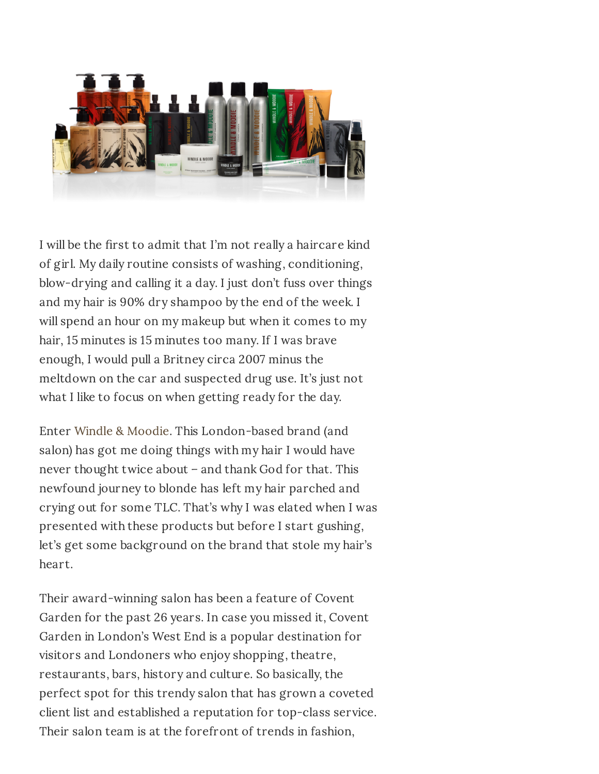

I will be the first to admit that I'm not really a haircare kind of girl. My daily routine consists of washing, conditioning, blow-drying and calling it a day. I just don't fuss over things and my hair is 90% dry shampoo by the end of the week. I will spend an hour on my makeup but when it comes to my hair, 15 minutes is 15 minutes too many. If I was brave enough, I would pull a Britney circa 2007 minus the meltdown on the car and suspected drug use. It's just not what I like to focus on when getting ready for the day.

Enter Windle & [Moodie](http://www.windleandmoodie.com/). This London-based brand (and salon) has got me doing things with my hair I would have never thought twice about – and thank God for that. This newfound journey to blonde has left my hair parched and crying out for some TLC. That's why I was elated when I was presented with these products but before I start gushing, let's get some background on the brand that stole my hair's heart.

Their award-winning salon has been a feature of Covent Garden for the past 26 years. In case you missed it, Covent Garden in London's West End is a popular destination for visitors and Londoners who enjoy shopping, theatre, restaurants, bars, history and culture. So basically, the perfect spot for this trendy salon that has grown a coveted client list and established a reputation for top-class service. Their salon team is at the forefront of trends in fashion,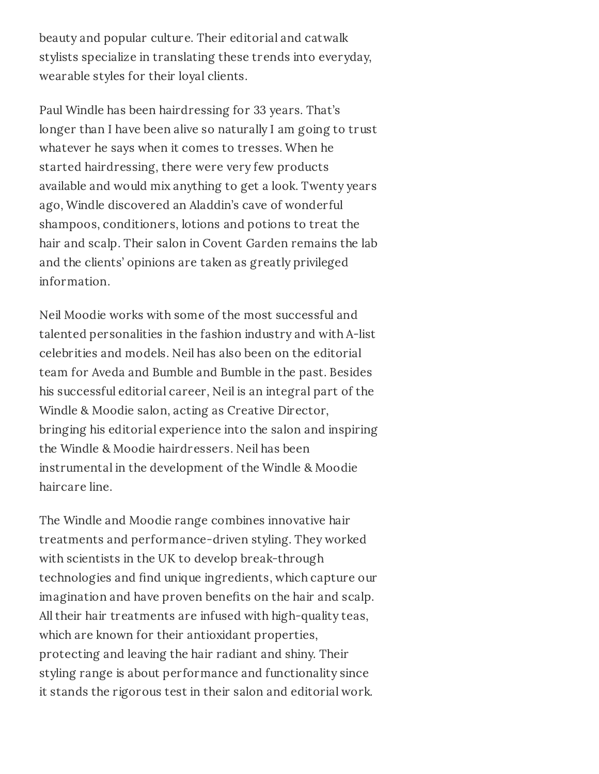beauty and popular culture. Their editorial and catwalk stylists specialize in translating these trends into everyday, wearable styles for their loyal clients.

Paul Windle has been hairdressing for 33 years. That's longer than I have been alive so naturally I am going to trust whatever he says when it comes to tresses. When he started hairdressing, there were very few products available and would mix anything to get a look. Twenty years ago, Windle discovered an Aladdin's cave of wonderful shampoos, conditioners, lotions and potions to treat the hair and scalp. Their salon in Covent Garden remains the lab and the clients' opinions are taken as greatly privileged information.

Neil Moodie works with some of the most successful and talented personalities in the fashion industry and with A-list celebrities and models. Neil has also been on the editorial team for Aveda and Bumble and Bumble in the past. Besides his successful editorial career, Neil is an integral part of the Windle & Moodie salon, acting as Creative Director, bringing his editorial experience into the salon and inspiring the Windle & Moodie hairdressers. Neil has been instrumental in the development of the Windle & Moodie haircare line.

The Windle and Moodie range combines innovative hair treatments and performance-driven styling. They worked with scientists in the UK to develop break-through technologies and find unique ingredients, which capture our imagination and have proven benefits on the hair and scalp. All their hair treatments are infused with high-quality teas, which are known for their antioxidant properties, protecting and leaving the hair radiant and shiny. Their styling range is about performance and functionality since it stands the rigorous test in their salon and editorial work.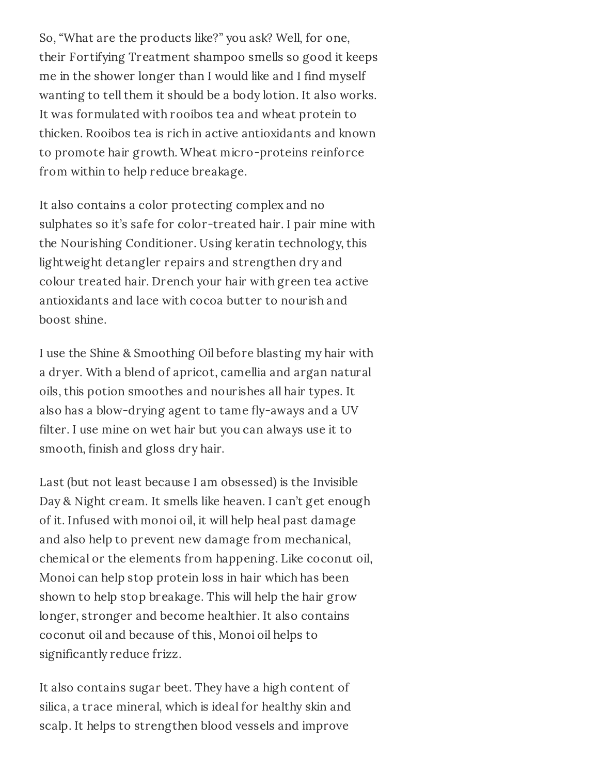So, "What are the products like?" you ask? Well, for one, their Fortifying Treatment shampoo smells so good it keeps me in the shower longer than I would like and I find myself wanting to tell them it should be a body lotion. It also works. It was formulated with rooibos tea and wheat protein to thicken. Rooibos tea is rich in active antioxidants and known to promote hair growth. Wheat micro-proteins reinforce from within to help reduce breakage.

It also contains a color protecting complex and no sulphates so it's safe for color-treated hair. I pair mine with the Nourishing Conditioner. Using keratin technology, this lightweight detangler repairs and strengthen dry and colour treated hair. Drench your hair with green tea active antioxidants and lace with cocoa butter to nourish and boost shine.

I use the Shine & Smoothing Oil before blasting my hair with a dryer. With a blend of apricot, camellia and argan natural oils, this potion smoothes and nourishes all hair types. It also has a blow-drying agent to tame fly-aways and a UV filter. I use mine on wet hair but you can always use it to smooth, finish and gloss dry hair.

Last (but not least because I am obsessed) is the Invisible Day & Night cream. It smells like heaven. I can't get enough of it. Infused with monoi oil, it will help heal past damage and also help to prevent new damage from mechanical, chemical or the elements from happening. Like coconut oil, Monoi can help stop protein loss in hair which has been shown to help stop breakage. This will help the hair grow longer, stronger and become healthier. It also contains coconut oil and because of this, Monoi oil helps to significantly reduce frizz.

It also contains sugar beet. They have a high content of silica, a trace mineral, which is ideal for healthy skin and scalp. It helps to strengthen blood vessels and improve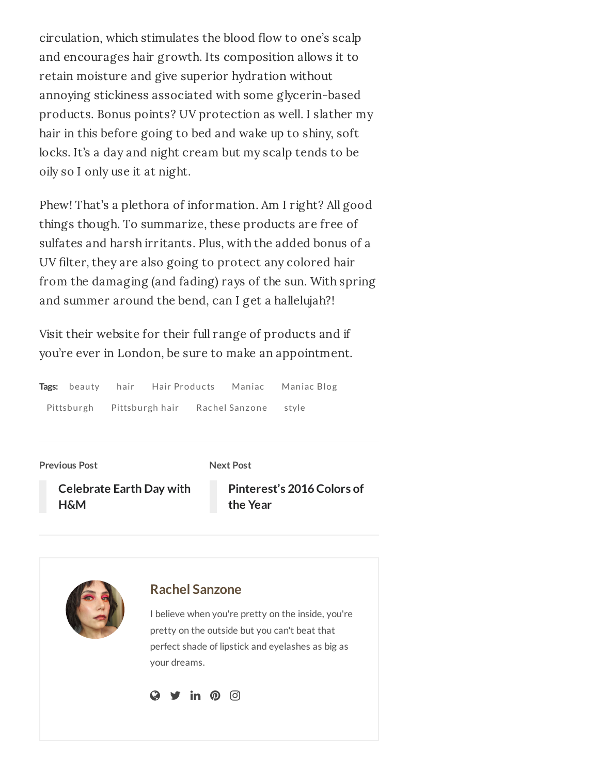circulation, which stimulates the blood flow to one's scalp and encourages hair growth. Its composition allows it to retain moisture and give superior hydration without annoying stickiness associated with some glycerin-based products. Bonus points? UV protection as well. I slather my hair in this before going to bed and wake up to shiny, soft locks. It's a day and night cream but my scalp tends to be oily so I only use it at night.

Phew! That's a plethora of information. Am I right? All good things though. To summarize, these products are free of sulfates and harsh irritants. Plus, with the added bonus of a UV filter, they are also going to protect any colored hair from the damaging (and fading) rays of the sun. With spring and summer around the bend, can I get a hallelujah?!

Visit their website for their full range of products and if you're ever in London, be sure to make an appointment.

| Tags: beauty | hair            | Hair Products |                | Maniac Maniac Blog |
|--------------|-----------------|---------------|----------------|--------------------|
| Pittsburgh   | Pittsburgh hair |               | Rachel Sanzone | stvle              |

**Previous Post**

**Next Post**

**[Celebrate](http://maniacmagazine.com/articles/get-30-off-at-hm-starting-april-18/) Earth Day with H&M**

**[Pinterest's](http://maniacmagazine.com/articles/pinterests-2016-colors-of-the-year/) 2016 Colors of the Year**

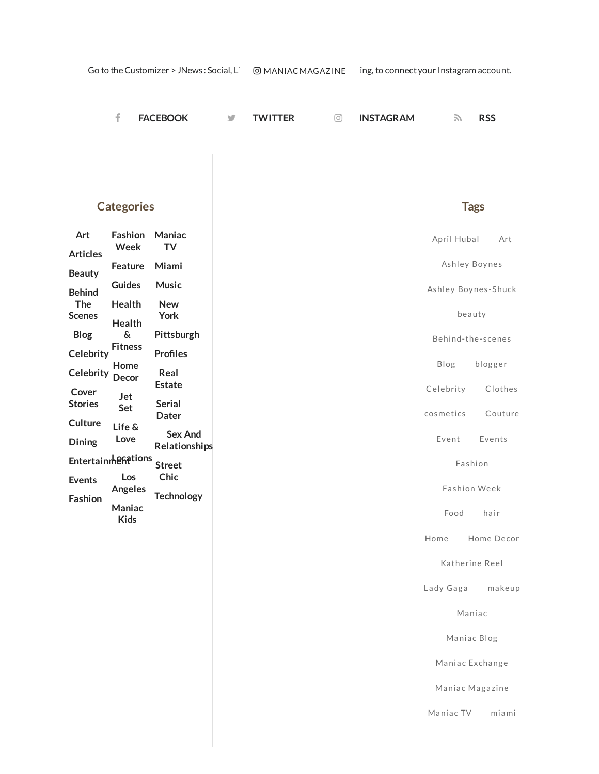|                                                      | f                                                           | <b>FACEBOOK</b>                                                  | y | <b>TWITTER</b> | ⊙ | <b>INSTAGRAM</b> | 7                                                   | <b>RSS</b>         |        |
|------------------------------------------------------|-------------------------------------------------------------|------------------------------------------------------------------|---|----------------|---|------------------|-----------------------------------------------------|--------------------|--------|
| Art                                                  | <b>Categories</b><br>Fashion                                | Maniac                                                           |   |                |   |                  | <b>Tags</b>                                         |                    |        |
| <b>Articles</b><br><b>Beauty</b><br><b>Behind</b>    | Week<br>Feature<br><b>Guides</b>                            | <b>TV</b><br>Miami<br><b>Music</b>                               |   |                |   |                  | April Hubal<br>Ashley Boynes<br>Ashley Boynes-Shuck |                    | Art    |
| The<br><b>Scenes</b><br><b>Blog</b>                  | Health<br>Health<br>$\boldsymbol{\delta}$<br><b>Fitness</b> | <b>New</b><br>York<br>Pittsburgh                                 |   |                |   |                  | beauty<br>Behind-the-scenes                         |                    |        |
| Celebrity<br>Celebrity Decor<br>Cover                | Home<br>Jet                                                 | <b>Profiles</b><br>Real<br><b>Estate</b>                         |   |                |   |                  | Blog<br>Celebrity                                   | blogger<br>Clothes |        |
| <b>Stories</b><br>Culture<br>Dining                  | Set<br>Life &<br>Love                                       | <b>Serial</b><br><b>Dater</b><br><b>Sex And</b><br>Relationships |   |                |   |                  | cosmetics<br>Event                                  | Couture<br>Events  |        |
| Entertainmentions<br><b>Events</b><br><b>Fashion</b> | Los<br>Angeles<br>Maniac                                    | <b>Street</b><br>Chic<br><b>Technology</b>                       |   |                |   |                  | Fashion<br>Fashion Week                             |                    |        |
|                                                      | <b>Kids</b>                                                 |                                                                  |   |                |   |                  | Food<br>Home<br>Katherine Reel                      | hair<br>Home Decor |        |
|                                                      |                                                             |                                                                  |   |                |   |                  | Lady Gaga<br>Maniac                                 |                    | makeup |
|                                                      |                                                             |                                                                  |   |                |   |                  | Maniac Blog<br>Maniac Exchange                      |                    |        |
|                                                      |                                                             |                                                                  |   |                |   |                  | Maniac Magazine<br>Maniac TV                        | miami              |        |